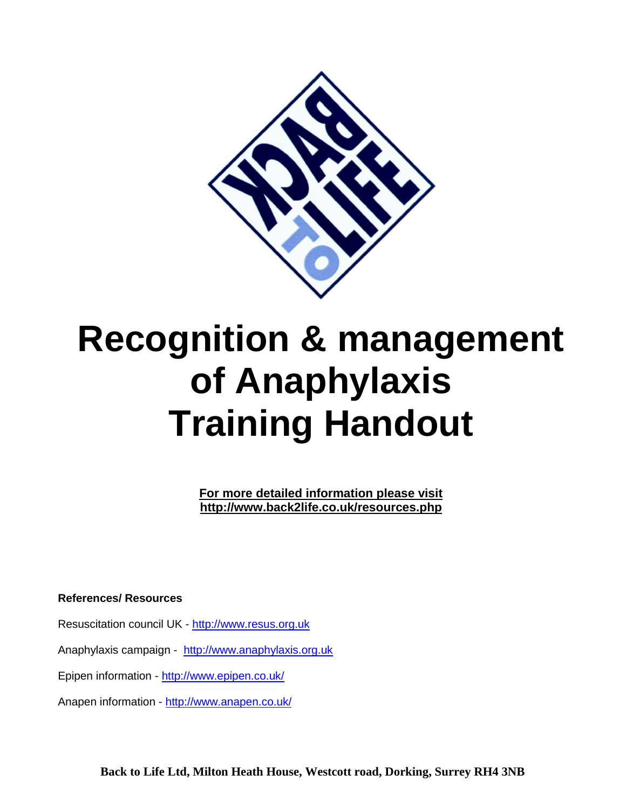

# **Recognition & management of Anaphylaxis Training Handout**

**For more detailed information please visit http://www.back2life.co.uk/resources.php**

**References/ Resources**

Resuscitation council UK - [http://www.resus.org.uk](http://www.resus.org.uk/)

Anaphylaxis campaign - [http://www.anaphylaxis.org.uk](http://www.anaphylaxis.org.uk/)

Epipen information - <http://www.epipen.co.uk/>

Anapen information - <http://www.anapen.co.uk/>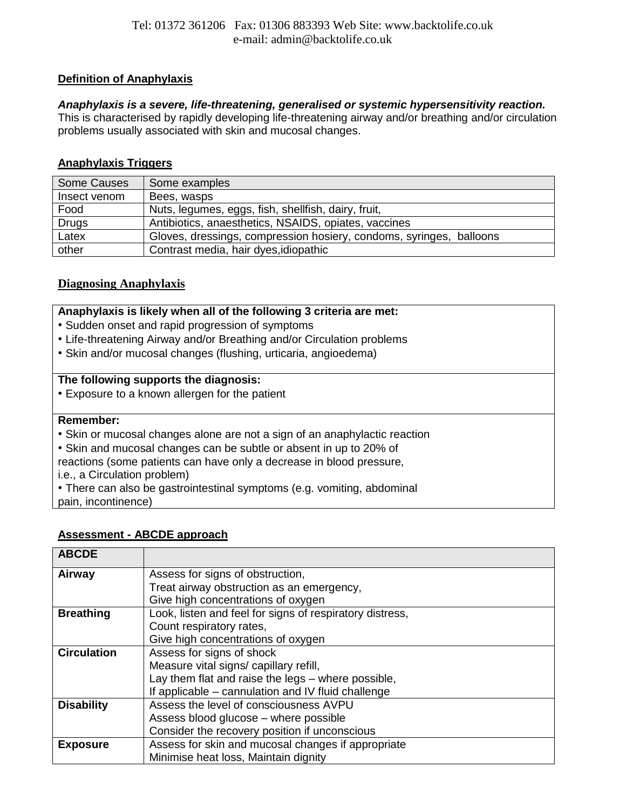## **Definition of Anaphylaxis**

## *Anaphylaxis is a severe, life-threatening, generalised or systemic hypersensitivity reaction.*

This is characterised by rapidly developing life-threatening airway and/or breathing and/or circulation problems usually associated with skin and mucosal changes.

# **Anaphylaxis Triggers**

| Some Causes  | Some examples                                                       |
|--------------|---------------------------------------------------------------------|
| Insect venom | Bees, wasps                                                         |
| Food         | Nuts, legumes, eggs, fish, shellfish, dairy, fruit,                 |
| Drugs        | Antibiotics, anaesthetics, NSAIDS, opiates, vaccines                |
| Latex        | Gloves, dressings, compression hosiery, condoms, syringes, balloons |
| other        | Contrast media, hair dyes, idiopathic                               |

# **Diagnosing Anaphylaxis**

#### **Anaphylaxis is likely when all of the following 3 criteria are met:**

- Sudden onset and rapid progression of symptoms
- Life-threatening Airway and/or Breathing and/or Circulation problems
- Skin and/or mucosal changes (flushing, urticaria, angioedema)

#### **The following supports the diagnosis:**

• Exposure to a known allergen for the patient

#### **Remember:**

- Skin or mucosal changes alone are not a sign of an anaphylactic reaction
- Skin and mucosal changes can be subtle or absent in up to 20% of

reactions (some patients can have only a decrease in blood pressure,

- i.e., a Circulation problem)
- There can also be gastrointestinal symptoms (e.g. vomiting, abdominal

pain, incontinence)

#### **Assessment - ABCDE approach**

| <b>ABCDE</b>       |                                                          |
|--------------------|----------------------------------------------------------|
| Airway             | Assess for signs of obstruction,                         |
|                    | Treat airway obstruction as an emergency,                |
|                    | Give high concentrations of oxygen                       |
| <b>Breathing</b>   | Look, listen and feel for signs of respiratory distress, |
|                    | Count respiratory rates,                                 |
|                    | Give high concentrations of oxygen                       |
| <b>Circulation</b> | Assess for signs of shock                                |
|                    | Measure vital signs/ capillary refill,                   |
|                    | Lay them flat and raise the legs – where possible,       |
|                    | If applicable – cannulation and IV fluid challenge       |
| <b>Disability</b>  | Assess the level of consciousness AVPU                   |
|                    | Assess blood glucose – where possible                    |
|                    | Consider the recovery position if unconscious            |
| <b>Exposure</b>    | Assess for skin and mucosal changes if appropriate       |
|                    | Minimise heat loss, Maintain dignity                     |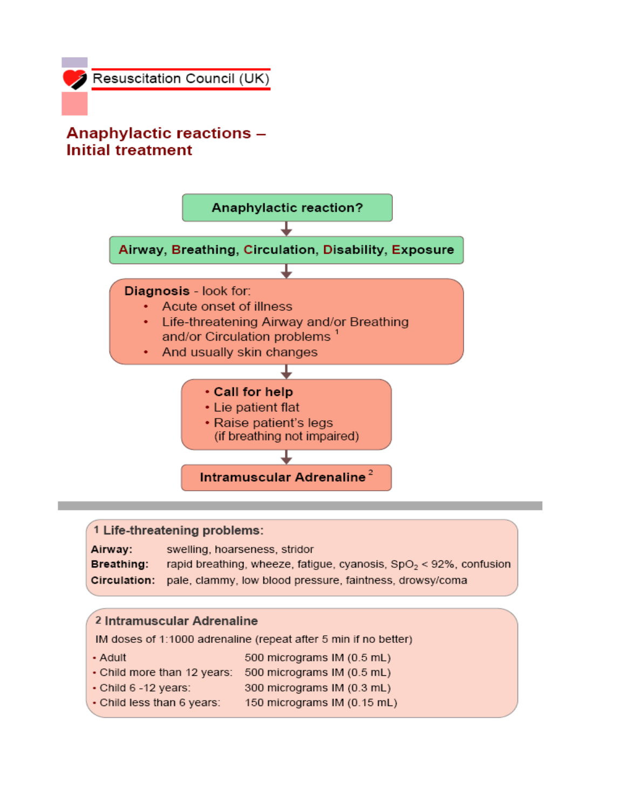# **Anaphylactic reactions -Initial treatment**



# 1 Life-threatening problems:

| Airway:      | swelling, hoarseness, stridor                                         |
|--------------|-----------------------------------------------------------------------|
| Breathing: I | rapid breathing, wheeze, fatigue, cyanosis, $SpO2 < 92%$ , confusion  |
|              | Circulation: pale, clammy, low blood pressure, faintness, drowsy/coma |

#### 2 Intramuscular Adrenaline

IM doses of 1:1000 adrenaline (repeat after 5 min if no better)

- Adult 500 micrograms IM (0.5 mL)
- Child more than 12 years: 500 micrograms IM (0.5 mL)
- Child 6 -12 years: 300 micrograms IM (0.3 mL)
- Child less than 6 years: 150 micrograms IM (0.15 mL)